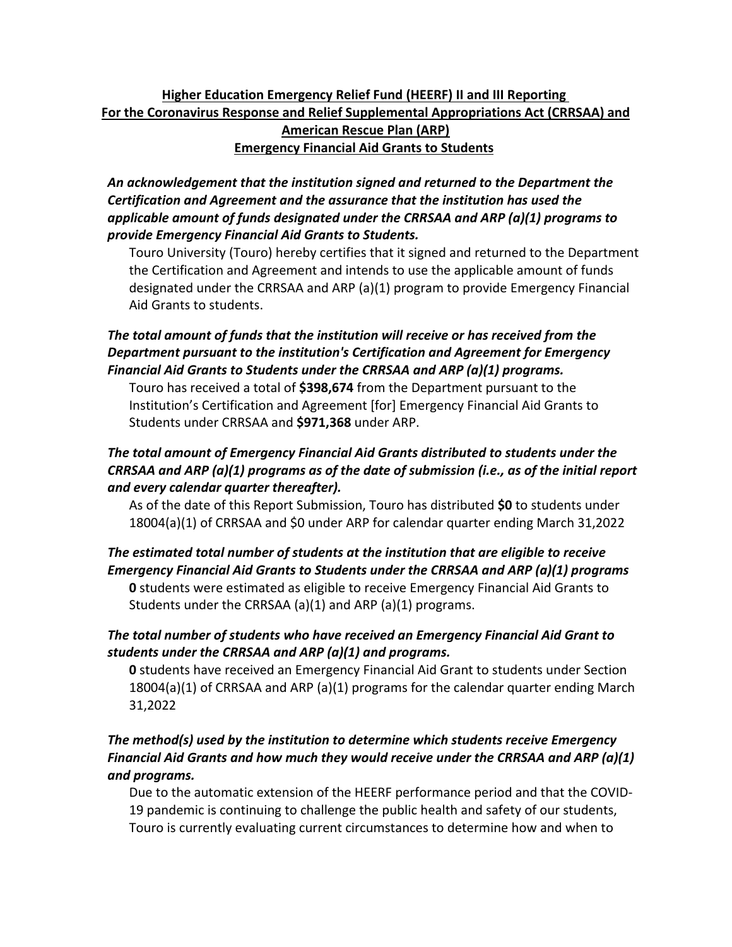## **Higher Education Emergency Relief Fund (HEERF) II and III Reporting For the Coronavirus Response and Relief Supplemental Appropriations Act (CRRSAA) and American Rescue Plan (ARP) Emergency Financial Aid Grants to Students**

*An acknowledgement that the institution signed and returned to the Department the Certification and Agreement and the assurance that the institution has used the applicable amount of funds designated under the CRRSAA and ARP (a)(1) programs to provide Emergency Financial Aid Grants to Students.*

Touro University (Touro) hereby certifies that it signed and returned to the Department the Certification and Agreement and intends to use the applicable amount of funds designated under the CRRSAA and ARP (a)(1) program to provide Emergency Financial Aid Grants to students.

## *The total amount of funds that the institution will receive or has received from the Department pursuant to the institution's Certification and Agreement for Emergency Financial Aid Grants to Students under the CRRSAA and ARP (a)(1) programs.*

Touro has received a total of **\$398,674** from the Department pursuant to the Institution's Certification and Agreement [for] Emergency Financial Aid Grants to Students under CRRSAA and **\$971,368** under ARP.

## *The total amount of Emergency Financial Aid Grants distributed to students under the CRRSAA and ARP (a)(1) programs as of the date of submission (i.e., as of the initial report and every calendar quarter thereafter).*

As of the date of this Report Submission, Touro has distributed **\$0** to students under 18004(a)(1) of CRRSAA and \$0 under ARP for calendar quarter ending March 31,2022

#### *The estimated total number of students at the institution that are eligible to receive Emergency Financial Aid Grants to Students under the CRRSAA and ARP (a)(1) programs*

**0** students were estimated as eligible to receive Emergency Financial Aid Grants to Students under the CRRSAA (a)(1) and ARP (a)(1) programs.

# *The total number of students who have received an Emergency Financial Aid Grant to students under the CRRSAA and ARP (a)(1) and programs.*

**0** students have received an Emergency Financial Aid Grant to students under Section 18004(a)(1) of CRRSAA and ARP (a)(1) programs for the calendar quarter ending March 31,2022

## *The method(s) used by the institution to determine which students receive Emergency Financial Aid Grants and how much they would receive under the CRRSAA and ARP (a)(1) and programs.*

Due to the automatic extension of the HEERF performance period and that the COVID-19 pandemic is continuing to challenge the public health and safety of our students, Touro is currently evaluating current circumstances to determine how and when to